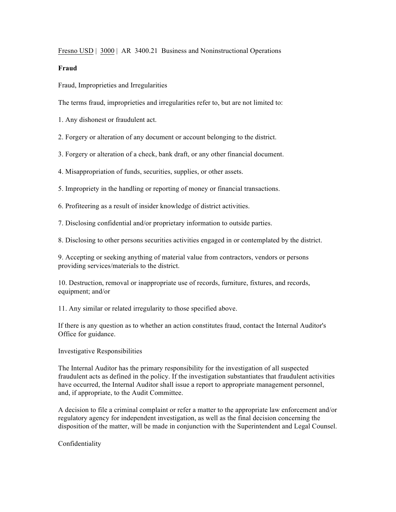Fresno USD | 3000 | AR 3400.21 Business and Noninstructional Operations

## **Fraud**

Fraud, Improprieties and Irregularities

The terms fraud, improprieties and irregularities refer to, but are not limited to:

1. Any dishonest or fraudulent act.

2. Forgery or alteration of any document or account belonging to the district.

3. Forgery or alteration of a check, bank draft, or any other financial document.

4. Misappropriation of funds, securities, supplies, or other assets.

5. Impropriety in the handling or reporting of money or financial transactions.

6. Profiteering as a result of insider knowledge of district activities.

7. Disclosing confidential and/or proprietary information to outside parties.

8. Disclosing to other persons securities activities engaged in or contemplated by the district.

9. Accepting or seeking anything of material value from contractors, vendors or persons providing services/materials to the district.

10. Destruction, removal or inappropriate use of records, furniture, fixtures, and records, equipment; and/or

11. Any similar or related irregularity to those specified above.

If there is any question as to whether an action constitutes fraud, contact the Internal Auditor's Office for guidance.

Investigative Responsibilities

The Internal Auditor has the primary responsibility for the investigation of all suspected fraudulent acts as defined in the policy. If the investigation substantiates that fraudulent activities have occurred, the Internal Auditor shall issue a report to appropriate management personnel, and, if appropriate, to the Audit Committee.

A decision to file a criminal complaint or refer a matter to the appropriate law enforcement and/or regulatory agency for independent investigation, as well as the final decision concerning the disposition of the matter, will be made in conjunction with the Superintendent and Legal Counsel.

Confidentiality